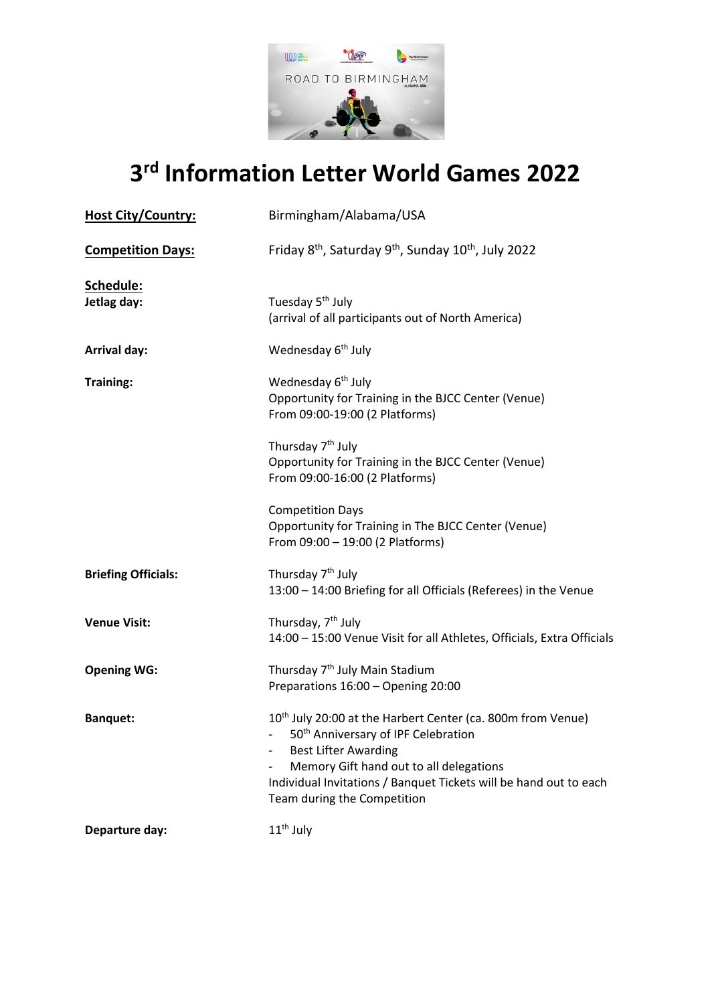

## **3rd Information Letter World Games 2022**

| <b>Host City/Country:</b>  | Birmingham/Alabama/USA                                                                                                                                                                                                                                                                                   |  |  |
|----------------------------|----------------------------------------------------------------------------------------------------------------------------------------------------------------------------------------------------------------------------------------------------------------------------------------------------------|--|--|
| <b>Competition Days:</b>   | Friday 8 <sup>th</sup> , Saturday 9 <sup>th</sup> , Sunday 10 <sup>th</sup> , July 2022                                                                                                                                                                                                                  |  |  |
| Schedule:<br>Jetlag day:   | Tuesday 5 <sup>th</sup> July<br>(arrival of all participants out of North America)                                                                                                                                                                                                                       |  |  |
| <b>Arrival day:</b>        | Wednesday 6 <sup>th</sup> July                                                                                                                                                                                                                                                                           |  |  |
| Training:                  | Wednesday 6 <sup>th</sup> July<br>Opportunity for Training in the BJCC Center (Venue)<br>From 09:00-19:00 (2 Platforms)                                                                                                                                                                                  |  |  |
|                            | Thursday 7 <sup>th</sup> July<br>Opportunity for Training in the BJCC Center (Venue)<br>From 09:00-16:00 (2 Platforms)                                                                                                                                                                                   |  |  |
|                            | <b>Competition Days</b><br>Opportunity for Training in The BJCC Center (Venue)<br>From 09:00 - 19:00 (2 Platforms)                                                                                                                                                                                       |  |  |
| <b>Briefing Officials:</b> | Thursday 7 <sup>th</sup> July<br>13:00 - 14:00 Briefing for all Officials (Referees) in the Venue                                                                                                                                                                                                        |  |  |
| <b>Venue Visit:</b>        | Thursday, 7 <sup>th</sup> July<br>14:00 - 15:00 Venue Visit for all Athletes, Officials, Extra Officials                                                                                                                                                                                                 |  |  |
| <b>Opening WG:</b>         | Thursday 7 <sup>th</sup> July Main Stadium<br>Preparations 16:00 - Opening 20:00                                                                                                                                                                                                                         |  |  |
| <b>Banquet:</b>            | 10 <sup>th</sup> July 20:00 at the Harbert Center (ca. 800m from Venue)<br>50 <sup>th</sup> Anniversary of IPF Celebration<br><b>Best Lifter Awarding</b><br>Memory Gift hand out to all delegations<br>Individual Invitations / Banquet Tickets will be hand out to each<br>Team during the Competition |  |  |
| Departure day:             | $11th$ July                                                                                                                                                                                                                                                                                              |  |  |